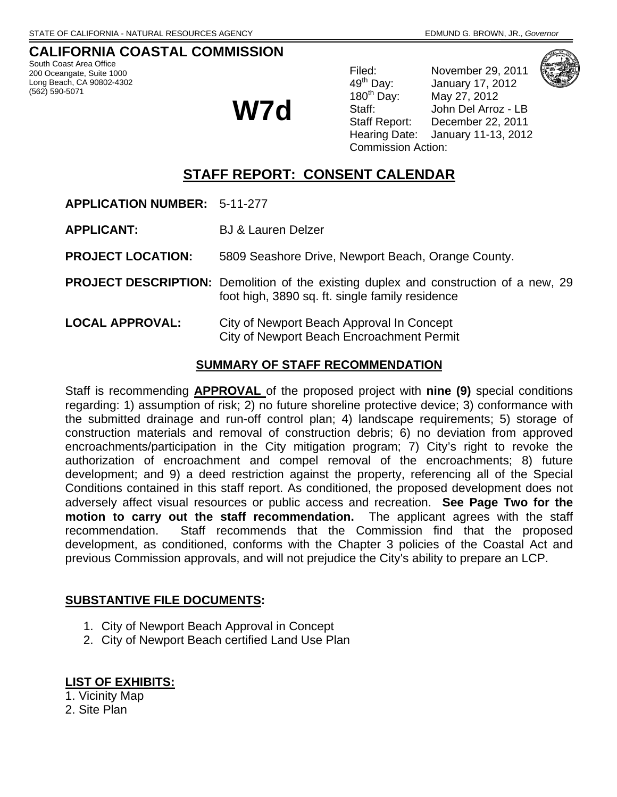# **CALIFORNIA COASTAL COMMISSION**

South Coast Area Office 200 Oceangate, Suite 1000 Long Beach, CA 90802-4302 (562) 590-5071

**W7d**

Filed: November 29, 2011<br>49<sup>th</sup> Day: January 17, 2012 49<sup>th</sup> Day: January 17, 2012<br>180<sup>th</sup> Day: May 27, 2012 May 27, 2012 Staff: John Del Arroz - LB Staff Report: December 22, 2011 Hearing Date: January 11-13, 2012 Commission Action:

# **STAFF REPORT: CONSENT CALENDAR**

**APPLICATION NUMBER:** 5-11-277

**APPLICANT:** BJ & Lauren Delzer

**PROJECT LOCATION:** 5809 Seashore Drive, Newport Beach, Orange County.

**PROJECT DESCRIPTION:** Demolition of the existing duplex and construction of a new, 29 foot high, 3890 sq. ft. single family residence

**LOCAL APPROVAL:** City of Newport Beach Approval In Concept City of Newport Beach Encroachment Permit

#### **SUMMARY OF STAFF RECOMMENDATION**

Staff is recommending **APPROVAL** of the proposed project with **nine (9)** special conditions regarding: 1) assumption of risk; 2) no future shoreline protective device; 3) conformance with the submitted drainage and run-off control plan; 4) landscape requirements; 5) storage of construction materials and removal of construction debris; 6) no deviation from approved encroachments/participation in the City mitigation program; 7) City's right to revoke the authorization of encroachment and compel removal of the encroachments; 8) future development; and 9) a deed restriction against the property, referencing all of the Special Conditions contained in this staff report. As conditioned, the proposed development does not adversely affect visual resources or public access and recreation. **See Page Two for the motion to carry out the staff recommendation.** The applicant agrees with the staff recommendation. Staff recommends that the Commission find that the proposed development, as conditioned, conforms with the Chapter 3 policies of the Coastal Act and previous Commission approvals, and will not prejudice the City's ability to prepare an LCP.

## **SUBSTANTIVE FILE DOCUMENTS:**

- 1. City of Newport Beach Approval in Concept
- 2. City of Newport Beach certified Land Use Plan

## **LIST OF EXHIBITS:**

1. Vicinity Map

2. Site Plan

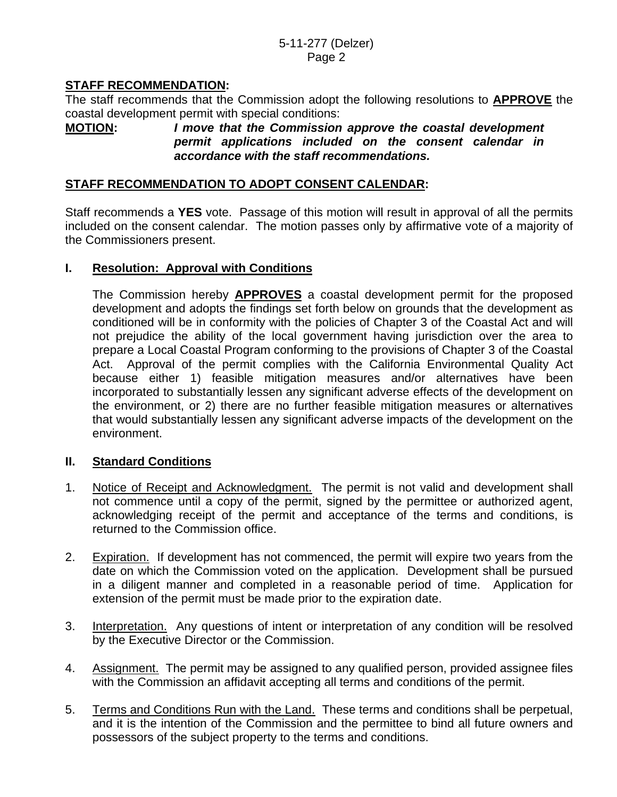# **STAFF RECOMMENDATION:**

The staff recommends that the Commission adopt the following resolutions to **APPROVE** the coastal development permit with special conditions:

# **MOTION:** *I move that the Commission approve the coastal development permit applications included on the consent calendar in accordance with the staff recommendations.*

## **STAFF RECOMMENDATION TO ADOPT CONSENT CALENDAR:**

Staff recommends a **YES** vote. Passage of this motion will result in approval of all the permits included on the consent calendar. The motion passes only by affirmative vote of a majority of the Commissioners present.

# **I. Resolution: Approval with Conditions**

 The Commission hereby **APPROVES** a coastal development permit for the proposed development and adopts the findings set forth below on grounds that the development as conditioned will be in conformity with the policies of Chapter 3 of the Coastal Act and will not prejudice the ability of the local government having jurisdiction over the area to prepare a Local Coastal Program conforming to the provisions of Chapter 3 of the Coastal Act. Approval of the permit complies with the California Environmental Quality Act because either 1) feasible mitigation measures and/or alternatives have been incorporated to substantially lessen any significant adverse effects of the development on the environment, or 2) there are no further feasible mitigation measures or alternatives that would substantially lessen any significant adverse impacts of the development on the environment.

## **II. Standard Conditions**

- 1. Notice of Receipt and Acknowledgment. The permit is not valid and development shall not commence until a copy of the permit, signed by the permittee or authorized agent, acknowledging receipt of the permit and acceptance of the terms and conditions, is returned to the Commission office.
- 2. Expiration. If development has not commenced, the permit will expire two years from the date on which the Commission voted on the application. Development shall be pursued in a diligent manner and completed in a reasonable period of time. Application for extension of the permit must be made prior to the expiration date.
- 3. Interpretation. Any questions of intent or interpretation of any condition will be resolved by the Executive Director or the Commission.
- 4. Assignment. The permit may be assigned to any qualified person, provided assignee files with the Commission an affidavit accepting all terms and conditions of the permit.
- 5. Terms and Conditions Run with the Land. These terms and conditions shall be perpetual, and it is the intention of the Commission and the permittee to bind all future owners and possessors of the subject property to the terms and conditions.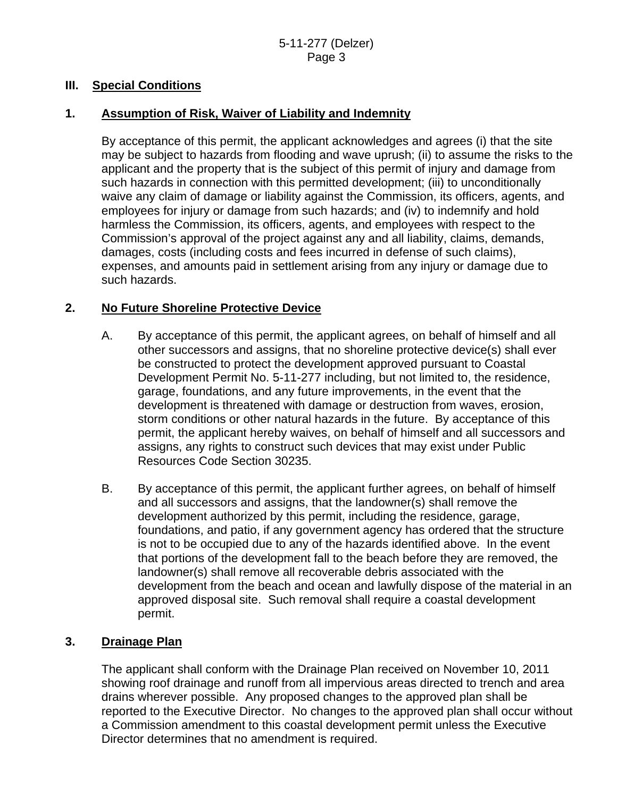## **III. Special Conditions**

# **1. Assumption of Risk, Waiver of Liability and Indemnity**

By acceptance of this permit, the applicant acknowledges and agrees (i) that the site may be subject to hazards from flooding and wave uprush; (ii) to assume the risks to the applicant and the property that is the subject of this permit of injury and damage from such hazards in connection with this permitted development; (iii) to unconditionally waive any claim of damage or liability against the Commission, its officers, agents, and employees for injury or damage from such hazards; and (iv) to indemnify and hold harmless the Commission, its officers, agents, and employees with respect to the Commission's approval of the project against any and all liability, claims, demands, damages, costs (including costs and fees incurred in defense of such claims), expenses, and amounts paid in settlement arising from any injury or damage due to such hazards.

# **2. No Future Shoreline Protective Device**

- A. By acceptance of this permit, the applicant agrees, on behalf of himself and all other successors and assigns, that no shoreline protective device(s) shall ever be constructed to protect the development approved pursuant to Coastal Development Permit No. 5-11-277 including, but not limited to, the residence, garage, foundations, and any future improvements, in the event that the development is threatened with damage or destruction from waves, erosion, storm conditions or other natural hazards in the future. By acceptance of this permit, the applicant hereby waives, on behalf of himself and all successors and assigns, any rights to construct such devices that may exist under Public Resources Code Section 30235.
- B. By acceptance of this permit, the applicant further agrees, on behalf of himself and all successors and assigns, that the landowner(s) shall remove the development authorized by this permit, including the residence, garage, foundations, and patio, if any government agency has ordered that the structure is not to be occupied due to any of the hazards identified above. In the event that portions of the development fall to the beach before they are removed, the landowner(s) shall remove all recoverable debris associated with the development from the beach and ocean and lawfully dispose of the material in an approved disposal site. Such removal shall require a coastal development permit.

# **3. Drainage Plan**

The applicant shall conform with the Drainage Plan received on November 10, 2011 showing roof drainage and runoff from all impervious areas directed to trench and area drains wherever possible. Any proposed changes to the approved plan shall be reported to the Executive Director. No changes to the approved plan shall occur without a Commission amendment to this coastal development permit unless the Executive Director determines that no amendment is required.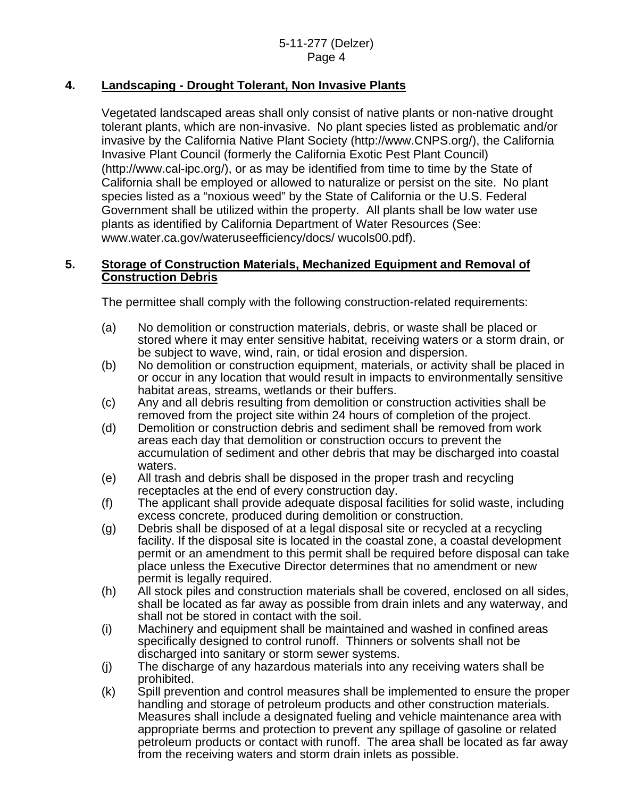# **4. Landscaping - Drought Tolerant, Non Invasive Plants**

Vegetated landscaped areas shall only consist of native plants or non-native drought tolerant plants, which are non-invasive. No plant species listed as problematic and/or invasive by the California Native Plant Society (http://www.CNPS.org/), the California Invasive Plant Council (formerly the California Exotic Pest Plant Council) (http://www.cal-ipc.org/), or as may be identified from time to time by the State of California shall be employed or allowed to naturalize or persist on the site. No plant species listed as a "noxious weed" by the State of California or the U.S. Federal Government shall be utilized within the property. All plants shall be low water use plants as identified by California Department of Water Resources (See: www.water.ca.gov/wateruseefficiency/docs/ wucols00.pdf).

# **5. Storage of Construction Materials, Mechanized Equipment and Removal of Construction Debris**

The permittee shall comply with the following construction-related requirements:

- (a) No demolition or construction materials, debris, or waste shall be placed or stored where it may enter sensitive habitat, receiving waters or a storm drain, or be subject to wave, wind, rain, or tidal erosion and dispersion.
- (b) No demolition or construction equipment, materials, or activity shall be placed in or occur in any location that would result in impacts to environmentally sensitive habitat areas, streams, wetlands or their buffers.
- (c) Any and all debris resulting from demolition or construction activities shall be removed from the project site within 24 hours of completion of the project.
- (d) Demolition or construction debris and sediment shall be removed from work areas each day that demolition or construction occurs to prevent the accumulation of sediment and other debris that may be discharged into coastal waters.
- (e) All trash and debris shall be disposed in the proper trash and recycling receptacles at the end of every construction day.
- (f) The applicant shall provide adequate disposal facilities for solid waste, including excess concrete, produced during demolition or construction.
- (g) Debris shall be disposed of at a legal disposal site or recycled at a recycling facility. If the disposal site is located in the coastal zone, a coastal development permit or an amendment to this permit shall be required before disposal can take place unless the Executive Director determines that no amendment or new permit is legally required.
- (h) All stock piles and construction materials shall be covered, enclosed on all sides, shall be located as far away as possible from drain inlets and any waterway, and shall not be stored in contact with the soil.
- (i) Machinery and equipment shall be maintained and washed in confined areas specifically designed to control runoff. Thinners or solvents shall not be discharged into sanitary or storm sewer systems.
- (j) The discharge of any hazardous materials into any receiving waters shall be prohibited.
- (k) Spill prevention and control measures shall be implemented to ensure the proper handling and storage of petroleum products and other construction materials. Measures shall include a designated fueling and vehicle maintenance area with appropriate berms and protection to prevent any spillage of gasoline or related petroleum products or contact with runoff. The area shall be located as far away from the receiving waters and storm drain inlets as possible.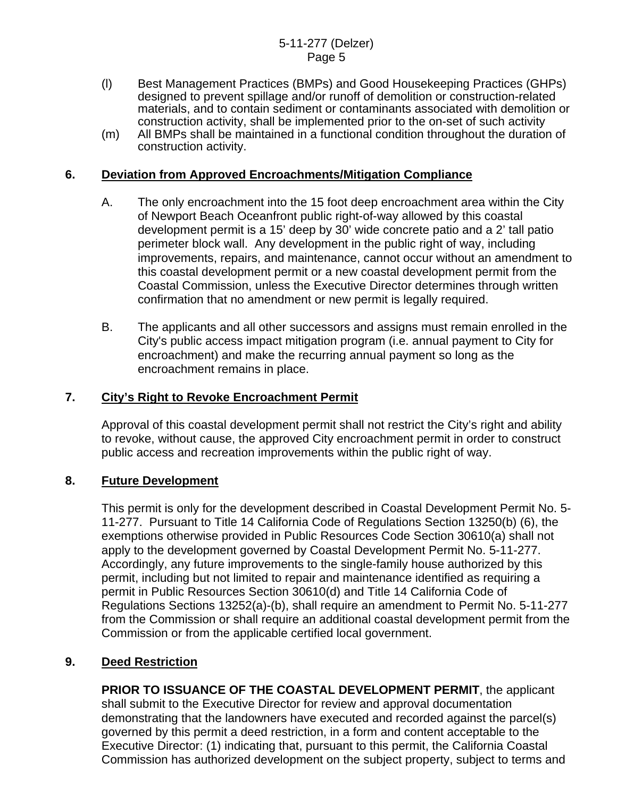- (l) Best Management Practices (BMPs) and Good Housekeeping Practices (GHPs) designed to prevent spillage and/or runoff of demolition or construction-related materials, and to contain sediment or contaminants associated with demolition or construction activity, shall be implemented prior to the on-set of such activity
- (m) All BMPs shall be maintained in a functional condition throughout the duration of construction activity.

## **6. Deviation from Approved Encroachments/Mitigation Compliance**

- A. The only encroachment into the 15 foot deep encroachment area within the City of Newport Beach Oceanfront public right-of-way allowed by this coastal development permit is a 15' deep by 30' wide concrete patio and a 2' tall patio perimeter block wall. Any development in the public right of way, including improvements, repairs, and maintenance, cannot occur without an amendment to this coastal development permit or a new coastal development permit from the Coastal Commission, unless the Executive Director determines through written confirmation that no amendment or new permit is legally required.
- B. The applicants and all other successors and assigns must remain enrolled in the City's public access impact mitigation program (i.e. annual payment to City for encroachment) and make the recurring annual payment so long as the encroachment remains in place.

#### **7. City's Right to Revoke Encroachment Permit**

Approval of this coastal development permit shall not restrict the City's right and ability to revoke, without cause, the approved City encroachment permit in order to construct public access and recreation improvements within the public right of way.

#### **8. Future Development**

This permit is only for the development described in Coastal Development Permit No. 5- 11-277. Pursuant to Title 14 California Code of Regulations Section 13250(b) (6), the exemptions otherwise provided in Public Resources Code Section 30610(a) shall not apply to the development governed by Coastal Development Permit No. 5-11-277. Accordingly, any future improvements to the single-family house authorized by this permit, including but not limited to repair and maintenance identified as requiring a permit in Public Resources Section 30610(d) and Title 14 California Code of Regulations Sections 13252(a)-(b), shall require an amendment to Permit No. 5-11-277 from the Commission or shall require an additional coastal development permit from the Commission or from the applicable certified local government.

## **9. Deed Restriction**

**PRIOR TO ISSUANCE OF THE COASTAL DEVELOPMENT PERMIT**, the applicant shall submit to the Executive Director for review and approval documentation demonstrating that the landowners have executed and recorded against the parcel(s) governed by this permit a deed restriction, in a form and content acceptable to the Executive Director: (1) indicating that, pursuant to this permit, the California Coastal Commission has authorized development on the subject property, subject to terms and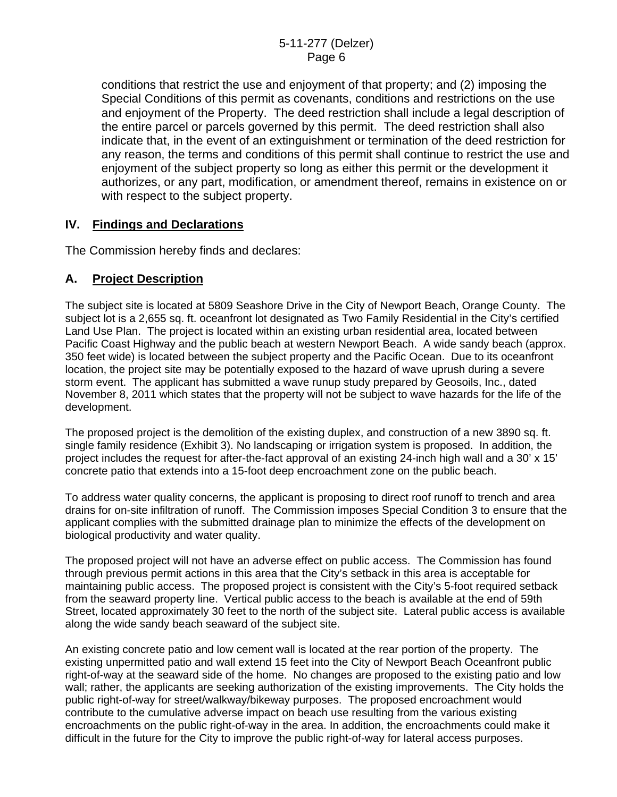conditions that restrict the use and enjoyment of that property; and (2) imposing the Special Conditions of this permit as covenants, conditions and restrictions on the use and enjoyment of the Property. The deed restriction shall include a legal description of the entire parcel or parcels governed by this permit. The deed restriction shall also indicate that, in the event of an extinguishment or termination of the deed restriction for any reason, the terms and conditions of this permit shall continue to restrict the use and enjoyment of the subject property so long as either this permit or the development it authorizes, or any part, modification, or amendment thereof, remains in existence on or with respect to the subject property.

## **IV. Findings and Declarations**

The Commission hereby finds and declares:

# **A. Project Description**

The subject site is located at 5809 Seashore Drive in the City of Newport Beach, Orange County. The subject lot is a 2,655 sq. ft. oceanfront lot designated as Two Family Residential in the City's certified Land Use Plan. The project is located within an existing urban residential area, located between Pacific Coast Highway and the public beach at western Newport Beach. A wide sandy beach (approx. 350 feet wide) is located between the subject property and the Pacific Ocean. Due to its oceanfront location, the project site may be potentially exposed to the hazard of wave uprush during a severe storm event. The applicant has submitted a wave runup study prepared by Geosoils, Inc., dated November 8, 2011 which states that the property will not be subject to wave hazards for the life of the development.

The proposed project is the demolition of the existing duplex, and construction of a new 3890 sq. ft. single family residence (Exhibit 3). No landscaping or irrigation system is proposed. In addition, the project includes the request for after-the-fact approval of an existing 24-inch high wall and a 30' x 15' concrete patio that extends into a 15-foot deep encroachment zone on the public beach.

To address water quality concerns, the applicant is proposing to direct roof runoff to trench and area drains for on-site infiltration of runoff. The Commission imposes Special Condition 3 to ensure that the applicant complies with the submitted drainage plan to minimize the effects of the development on biological productivity and water quality.

The proposed project will not have an adverse effect on public access. The Commission has found through previous permit actions in this area that the City's setback in this area is acceptable for maintaining public access. The proposed project is consistent with the City's 5-foot required setback from the seaward property line. Vertical public access to the beach is available at the end of 59th Street, located approximately 30 feet to the north of the subject site. Lateral public access is available along the wide sandy beach seaward of the subject site.

An existing concrete patio and low cement wall is located at the rear portion of the property. The existing unpermitted patio and wall extend 15 feet into the City of Newport Beach Oceanfront public right-of-way at the seaward side of the home. No changes are proposed to the existing patio and low wall; rather, the applicants are seeking authorization of the existing improvements. The City holds the public right-of-way for street/walkway/bikeway purposes. The proposed encroachment would contribute to the cumulative adverse impact on beach use resulting from the various existing encroachments on the public right-of-way in the area. In addition, the encroachments could make it difficult in the future for the City to improve the public right-of-way for lateral access purposes.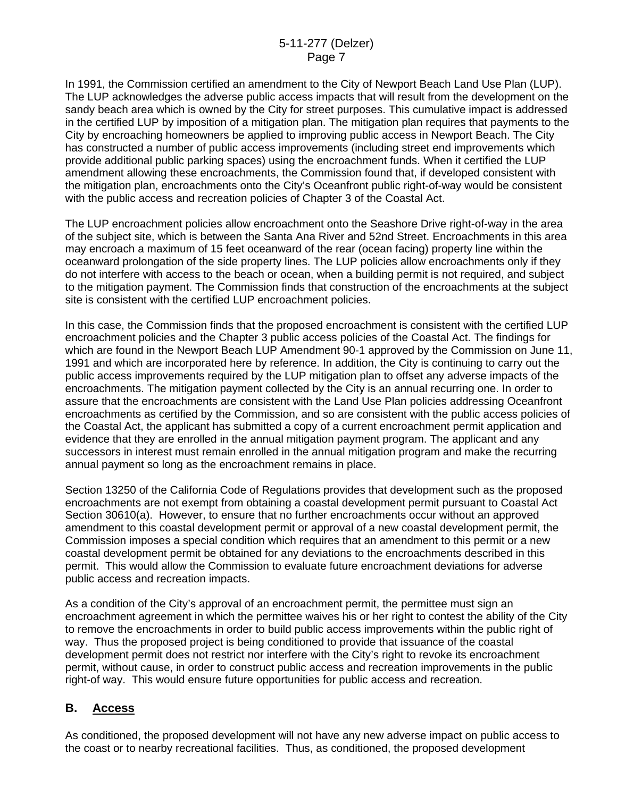In 1991, the Commission certified an amendment to the City of Newport Beach Land Use Plan (LUP). The LUP acknowledges the adverse public access impacts that will result from the development on the sandy beach area which is owned by the City for street purposes. This cumulative impact is addressed in the certified LUP by imposition of a mitigation plan. The mitigation plan requires that payments to the City by encroaching homeowners be applied to improving public access in Newport Beach. The City has constructed a number of public access improvements (including street end improvements which provide additional public parking spaces) using the encroachment funds. When it certified the LUP amendment allowing these encroachments, the Commission found that, if developed consistent with the mitigation plan, encroachments onto the City's Oceanfront public right-of-way would be consistent with the public access and recreation policies of Chapter 3 of the Coastal Act.

The LUP encroachment policies allow encroachment onto the Seashore Drive right-of-way in the area of the subject site, which is between the Santa Ana River and 52nd Street. Encroachments in this area may encroach a maximum of 15 feet oceanward of the rear (ocean facing) property line within the oceanward prolongation of the side property lines. The LUP policies allow encroachments only if they do not interfere with access to the beach or ocean, when a building permit is not required, and subject to the mitigation payment. The Commission finds that construction of the encroachments at the subject site is consistent with the certified LUP encroachment policies.

In this case, the Commission finds that the proposed encroachment is consistent with the certified LUP encroachment policies and the Chapter 3 public access policies of the Coastal Act. The findings for which are found in the Newport Beach LUP Amendment 90-1 approved by the Commission on June 11, 1991 and which are incorporated here by reference. In addition, the City is continuing to carry out the public access improvements required by the LUP mitigation plan to offset any adverse impacts of the encroachments. The mitigation payment collected by the City is an annual recurring one. In order to assure that the encroachments are consistent with the Land Use Plan policies addressing Oceanfront encroachments as certified by the Commission, and so are consistent with the public access policies of the Coastal Act, the applicant has submitted a copy of a current encroachment permit application and evidence that they are enrolled in the annual mitigation payment program. The applicant and any successors in interest must remain enrolled in the annual mitigation program and make the recurring annual payment so long as the encroachment remains in place.

Section 13250 of the California Code of Regulations provides that development such as the proposed encroachments are not exempt from obtaining a coastal development permit pursuant to Coastal Act Section 30610(a). However, to ensure that no further encroachments occur without an approved amendment to this coastal development permit or approval of a new coastal development permit, the Commission imposes a special condition which requires that an amendment to this permit or a new coastal development permit be obtained for any deviations to the encroachments described in this permit. This would allow the Commission to evaluate future encroachment deviations for adverse public access and recreation impacts.

As a condition of the City's approval of an encroachment permit, the permittee must sign an encroachment agreement in which the permittee waives his or her right to contest the ability of the City to remove the encroachments in order to build public access improvements within the public right of way. Thus the proposed project is being conditioned to provide that issuance of the coastal development permit does not restrict nor interfere with the City's right to revoke its encroachment permit, without cause, in order to construct public access and recreation improvements in the public right-of way. This would ensure future opportunities for public access and recreation.

## **B. Access**

As conditioned, the proposed development will not have any new adverse impact on public access to the coast or to nearby recreational facilities. Thus, as conditioned, the proposed development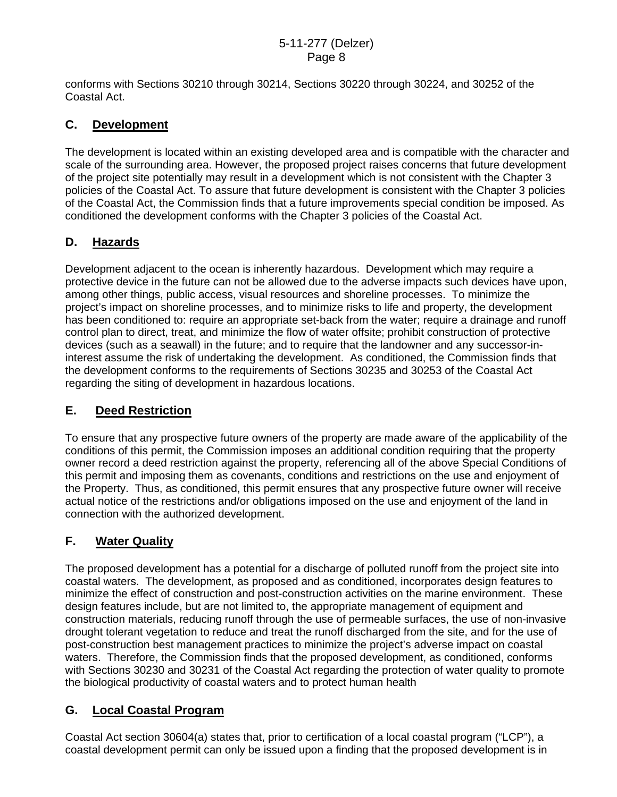conforms with Sections 30210 through 30214, Sections 30220 through 30224, and 30252 of the Coastal Act.

# **C. Development**

The development is located within an existing developed area and is compatible with the character and scale of the surrounding area. However, the proposed project raises concerns that future development of the project site potentially may result in a development which is not consistent with the Chapter 3 policies of the Coastal Act. To assure that future development is consistent with the Chapter 3 policies of the Coastal Act, the Commission finds that a future improvements special condition be imposed. As conditioned the development conforms with the Chapter 3 policies of the Coastal Act.

# **D. Hazards**

Development adjacent to the ocean is inherently hazardous. Development which may require a protective device in the future can not be allowed due to the adverse impacts such devices have upon, among other things, public access, visual resources and shoreline processes. To minimize the project's impact on shoreline processes, and to minimize risks to life and property, the development has been conditioned to: require an appropriate set-back from the water; require a drainage and runoff control plan to direct, treat, and minimize the flow of water offsite; prohibit construction of protective devices (such as a seawall) in the future; and to require that the landowner and any successor-ininterest assume the risk of undertaking the development. As conditioned, the Commission finds that the development conforms to the requirements of Sections 30235 and 30253 of the Coastal Act regarding the siting of development in hazardous locations.

# **E. Deed Restriction**

To ensure that any prospective future owners of the property are made aware of the applicability of the conditions of this permit, the Commission imposes an additional condition requiring that the property owner record a deed restriction against the property, referencing all of the above Special Conditions of this permit and imposing them as covenants, conditions and restrictions on the use and enjoyment of the Property. Thus, as conditioned, this permit ensures that any prospective future owner will receive actual notice of the restrictions and/or obligations imposed on the use and enjoyment of the land in connection with the authorized development.

# **F. Water Quality**

The proposed development has a potential for a discharge of polluted runoff from the project site into coastal waters. The development, as proposed and as conditioned, incorporates design features to minimize the effect of construction and post-construction activities on the marine environment. These design features include, but are not limited to, the appropriate management of equipment and construction materials, reducing runoff through the use of permeable surfaces, the use of non-invasive drought tolerant vegetation to reduce and treat the runoff discharged from the site, and for the use of post-construction best management practices to minimize the project's adverse impact on coastal waters. Therefore, the Commission finds that the proposed development, as conditioned, conforms with Sections 30230 and 30231 of the Coastal Act regarding the protection of water quality to promote the biological productivity of coastal waters and to protect human health

# **G. Local Coastal Program**

Coastal Act section 30604(a) states that, prior to certification of a local coastal program ("LCP"), a coastal development permit can only be issued upon a finding that the proposed development is in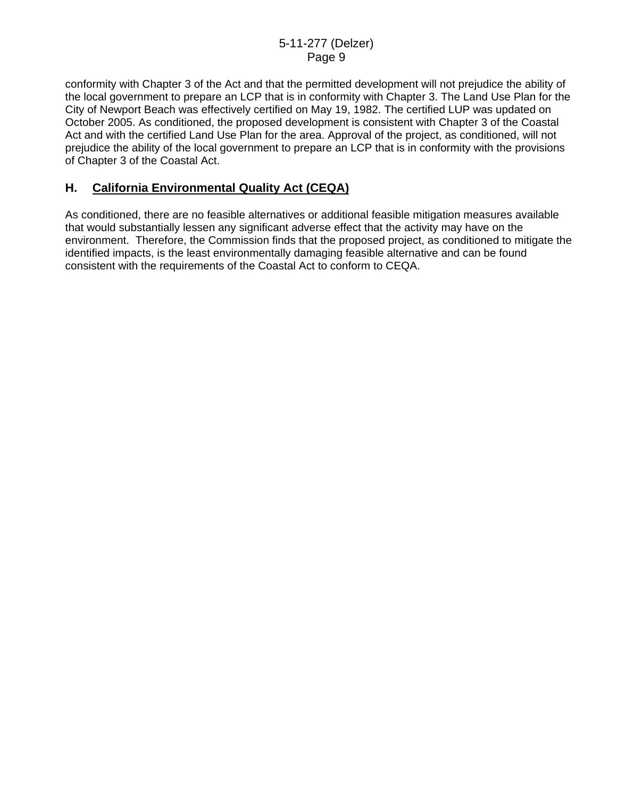conformity with Chapter 3 of the Act and that the permitted development will not prejudice the ability of the local government to prepare an LCP that is in conformity with Chapter 3. The Land Use Plan for the City of Newport Beach was effectively certified on May 19, 1982. The certified LUP was updated on October 2005. As conditioned, the proposed development is consistent with Chapter 3 of the Coastal Act and with the certified Land Use Plan for the area. Approval of the project, as conditioned, will not prejudice the ability of the local government to prepare an LCP that is in conformity with the provisions of Chapter 3 of the Coastal Act.

# **H. California Environmental Quality Act (CEQA)**

As conditioned, there are no feasible alternatives or additional feasible mitigation measures available that would substantially lessen any significant adverse effect that the activity may have on the environment. Therefore, the Commission finds that the proposed project, as conditioned to mitigate the identified impacts, is the least environmentally damaging feasible alternative and can be found consistent with the requirements of the Coastal Act to conform to CEQA.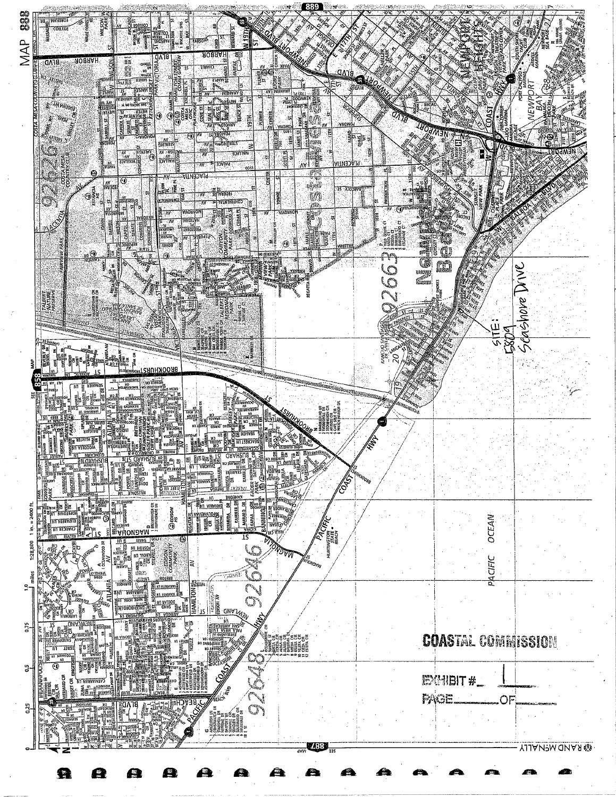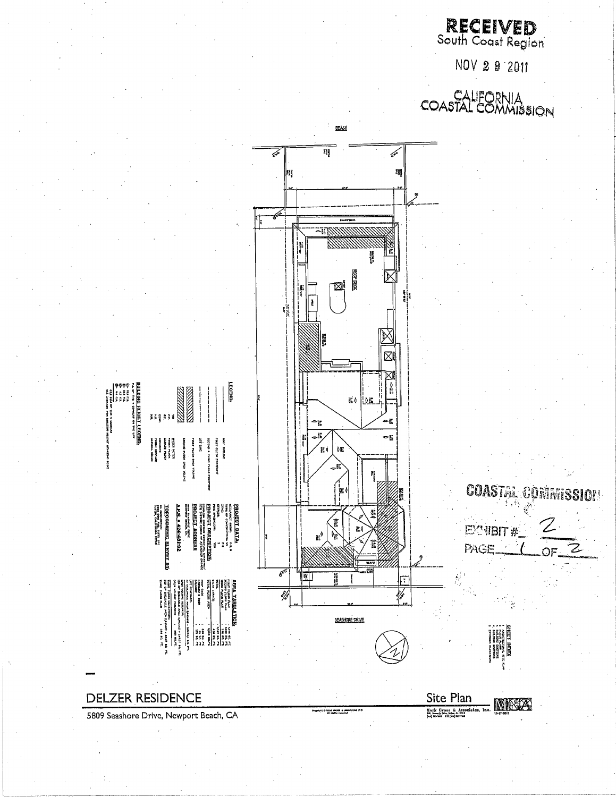